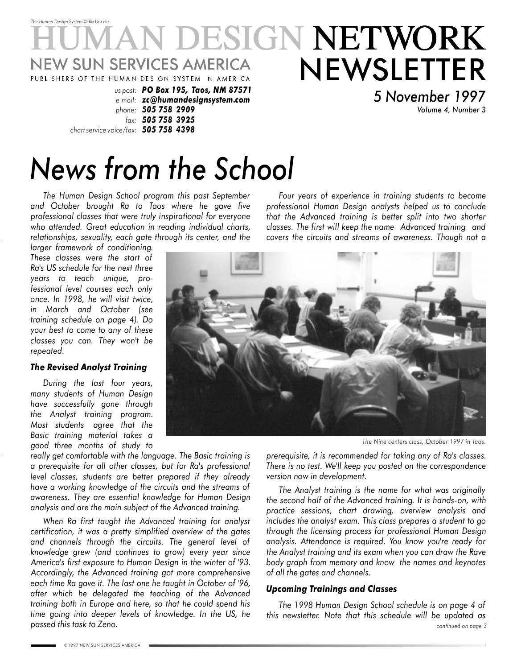

*Volume 4, Number 3*

# *News from the School*

*phone: 505 758 2909 fax: 505 758 3925*

*chart service voice/fax: 505 758 4398*

*The Human Design School program this past September and October brought Ra to Taos where he gave five professional classes that were truly inspirational for everyone who attended. Great education in reading individual charts, relationships, sexuality, each gate through its center, and the*

*larger framework of conditioning. These classes were the start of Ra's US schedule for the next three years to teach unique, professional level courses each only once. In 1998, he will visit twice, in March and October (see training schedule on page 4). Do your best to come to any of these classes you can. They won't be repeated.*

#### *The Revised Analyst Training*

*During the last four years, many students of Human Design have successfully gone through the Analyst training program. Most students agree that the Basic training material takes a good three months of study to*

*really get comfortable with the language. The Basic training is a prerequisite for all other classes, but for Ra's professional level classes, students are better prepared if they already have a working knowledge of the circuits and the streams of awareness. They are essential knowledge for Human Design analysis and are the main subject of the Advanced training.*

*When Ra first taught the Advanced training for analyst certification, it was a pretty simplified overview of the gates and channels through the circuits. The general level of knowledge grew (and continues to grow) every year since America's first exposure to Human Design in the winter of '93. Accordingly, the Advanced training got more comprehensive each time Ra gave it. The last one he taught in October of '96, after which he delegated the teaching of the Advanced training both in Europe and here, so that he could spend his time going into deeper levels of knowledge. In the US, he passed this task to Zeno.*



*The Nine centers class, October 1997 in Taos.*

*prerequisite, it is recommended for taking any of Ra's classes. There is no test. We'll keep you posted on the correspondence version now in development.*

*Four years of experience in training students to become professional Human Design analysts helped us to conclude that the Advanced training is better split into two shorter classes. The first will keep the name Advanced training and covers the circuits and streams of awareness. Though not a*

*The Analyst training is the name for what was originally the second half of the Advanced training. It is hands-on, with practice sessions, chart drawing, overview analysis and includes the analyst exam. This class prepares a student to go through the licensing process for professional Human Design analysis. Attendance is required. You know you're ready for the Analyst training and its exam when you can draw the Rave body graph from memory and know the names and keynotes of all the gates and channels.*

#### *Upcoming Trainings and Classes*

*continued on page 3 The 1998 Human Design School schedule is on page 4 of this newsletter. Note that this schedule will be updated as*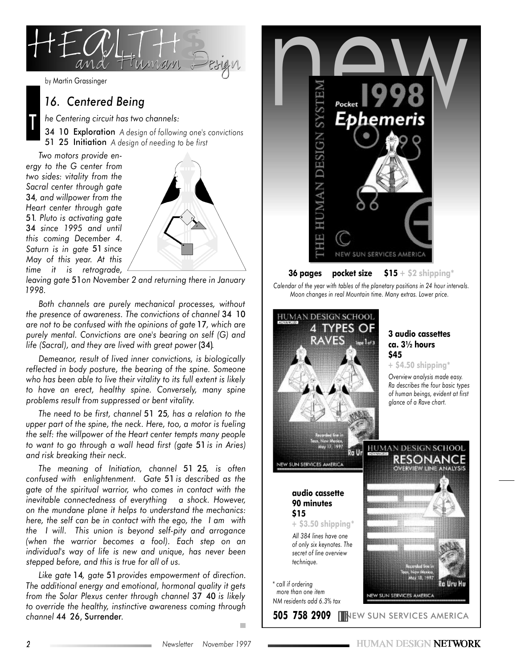

T

### *16. Centered Being*

*he Centering circuit has two channels:*

34 10 Exploration *A design of following one's convictions* 51 25 Initiation *A design of needing to be first*

*Two motors provide energy to the G center from two sides: vitality from the Sacral center through gate* 34*, and willpower from the Heart center through gate* 51*. Pluto is activating gate* 34 *since 1995 and until this coming December 4. Saturn is in gate* 51 *since May of this year. At this time it is retrograde,*



*leaving gate* 51*on November 2 and returning there in January 1998.*

*Both channels are purely mechanical processes, without the presence of awareness. The convictions of channel* 34 10 *are not to be confused with the opinions of gate* 17*, which are purely mental. Convictions are one's bearing on self (G) and life (Sacral), and they are lived with great power* (34)*.*

*Demeanor, result of lived inner convictions, is biologically reflected in body posture, the bearing of the spine. Someone who has been able to live their vitality to its full extent is likely to have an erect, healthy spine. Conversely, many spine problems result from suppressed or bent vitality.*

*The need to be first, channel* 51 25*, has a relation to the upper part of the spine, the neck. Here, too, a motor is fueling the self: the willpower of the Heart center tempts many people to want to go through a wall head first (gate* 51 *is in Aries) and risk breaking their neck.*

*The meaning of Initiation, channel* 51 25*, is often confused with enlightenment. Gate* 51 *is described as the gate of the spiritual warrior, who comes in contact with the inevitable connectedness of everything a shock. However, on the mundane plane it helps to understand the mechanics: here, the self can be in contact with the ego, the I am with the I will. This union is beyond self-pity and arrogance (when the warrior becomes a fool). Each step on an individual's way of life is new and unique, has never been stepped before, and this is true for all of us.*

*Like gate* 14*, gate* 51 *provides empowerment of direction. The additional energy and emotional, hormonal quality it gets from the Solar Plexus center through channel* 37 40 *is likely to override the healthy, instinctive awareness coming through channel* 44 26, Surrender*.*



*Calendar of the year with tables of the planetary positions in 24 hour intervals. Moon changes in real Mountain time. Many extras. Lower price.*



*more than one item NM residents add 6.3% tax* **3 audio cassettes ca. 3½ hours**

**+ \$4.50 shipping\***

*Overview analysis made easy. Ra describes the four basic types of human beings, evident at first glance of a Rave chart.*

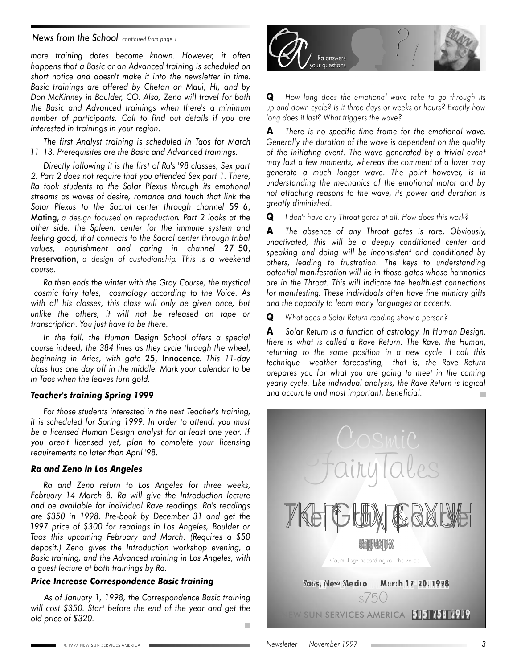#### *News from the School continued from page <sup>1</sup>*

*more training dates become known. However, it often happens that a Basic or an Advanced training is scheduled on short notice and doesn't make it into the newsletter in time. Basic trainings are offered by Chetan on Maui, HI, and by Don McKinney in Boulder, CO. Also, Zeno will travel for both the Basic and Advanced trainings when there's a minimum number of participants. Call to find out details if you are interested in trainings in your region.*

*The first Analyst training is scheduled in Taos for March 11 13. Prerequisites are the Basic and Advanced trainings.*

*Directly following it is the first of Ra's '98 classes, Sex part 2. Part 2 does not require that you attended Sex part 1. There, Ra took students to the Solar Plexus through its emotional streams as waves of desire, romance and touch that link the Solar Plexus to the Sacral center through channel* 59 6, Mating, *a design focused on reproduction. Part 2 looks at the other side, the Spleen, center for the immune system and feeling good, that connects to the Sacral center through tribal values, nourishment and caring in channel* 27 50, Preservation, *a design of custodianship. This is a weekend course.*

*Ra then ends the winter with the Gray Course, the mystical cosmic fairy tales, cosmology according to the Voice. As with all his classes, this class will only be given once, but unlike the others, it will not be released on tape or transcription. You just have to be there.*

*In the fall, the Human Design School offers a special course indeed, the 384 lines as they cycle through the wheel, beginning in Aries, with gate* 25, Innocence*. This 11-day class has one day off in the middle. Mark your calendar to be in Taos when the leaves turn gold.*

#### *Teacher's training Spring 1999*

*For those students interested in the next Teacher's training, it is scheduled for Spring 1999. In order to attend, you must be a licensed Human Design analyst for at least one year. If you aren't licensed yet, plan to complete your licensing requirements no later than April '98.*

#### *Ra and Zeno in Los Angeles*

*Ra and Zeno return to Los Angeles for three weeks, February 14 March 8. Ra will give the Introduction lecture and be available for individual Rave readings. Ra's readings are \$350 in 1998. Pre-book by December 31 and get the 1997 price of \$300 for readings in Los Angeles, Boulder or Taos this upcoming February and March. (Requires a \$50 deposit.) Zeno gives the Introduction workshop evening, a Basic training, and the Advanced training in Los Angeles, with a guest lecture at both trainings by Ra.*

#### *Price Increase Correspondence Basic training*

*As of January 1, 1998, the Correspondence Basic training will cost \$350. Start before the end of the year and get the old price of \$320.* п



**Q** *How long does the emotional wave take to go through its up and down cycle? Is it three days or weeks or hours? Exactly how long does it last? What triggers the wave?*

**A** *There is no specific time frame for the emotional wave. Generally the duration of the wave is dependent on the quality of the initiating event. The wave generated by a trivial event may last a few moments, whereas the comment of a lover may generate a much longer wave. The point however, is in understanding the mechanics of the emotional motor and by not attaching reasons to the wave, its power and duration is greatly diminished.*

**Q** *I don't have any Throat gates at all. How does this work?*

**A** *The absence of any Throat gates is rare. Obviously, unactivated, this will be a deeply conditioned center and speaking and doing will be inconsistent and conditioned by others, leading to frustration. The keys to understanding potential manifestation will lie in those gates whose harmonics are in the Throat. This will indicate the healthiest connections for manifesting. These individuals often have fine mimicry gifts and the capacity to learn many languages or accents.*

**Q** *What does a Solar Return reading show a person?*

**A** *Solar Return is a function of astrology. In Human Design, there is what is called a Rave Return. The Rave, the Human, returning to the same position in a new cycle. I call this technique weather forecasting, that is, the Rave Return prepares you for what you are going to meet in the coming yearly cycle. Like individual analysis, the Rave Return is logical and accurate and most important, beneficial.*  $\blacksquare$